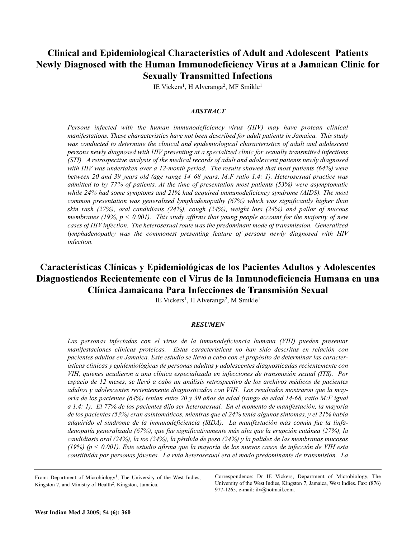## **Clinical and Epidemiological Characteristics of Adult and Adolescent Patients Newly Diagnosed with the Human Immunodeficiency Virus at a Jamaican Clinic for Sexually Transmitted Infections**

IE Vickers<sup>1</sup>, H Alveranga<sup>2</sup>, MF Smikle<sup>1</sup>

### *ABSTRACT*

*Persons infected with the human immunodeficiency virus (HIV) may have protean clinical manifestations. These characteristics have not been described for adult patients in Jamaica. This study was conducted to determine the clinical and epidemiological characteristics of adult and adolescent persons newly diagnosed with HIV presenting at a specialized clinic for sexually transmitted infections (STI). A retrospective analysis of the medical records of adult and adolescent patients newly diagnosed with HIV was undertaken over a 12-month period. The results showed that most patients (64%) were between 20 and 39 years old (age range 14–68 years, M:F ratio 1.4: 1). Heterosexual practice was admitted to by 77% of patients. At the time of presentation most patients (53%) were asymptomatic while 24% had some symptoms and 21% had acquired immunodeficiency syndrome (AIDS). The most common presentation was generalized lymphadenopathy (67%) which was significantly higher than skin rash (27%), oral candidiasis (24%), cough (24%), weight loss (24%) and pallor of mucous membranes (19%, p < 0.001). This study affirms that young people account for the majority of new cases of HIV infection. The heterosexual route was the predominant mode of transmission. Generalized lymphadenopathy was the commonest presenting feature of persons newly diagnosed with HIV infection.*

# **Características Clínicas y Epidemiológicas de los Pacientes Adultos y Adolescentes Diagnosticados Recientemente con el Virus de la Inmunodeficiencia Humana en una Clínica Jamaicana Para Infecciones de Transmisión Sexual**

IE Vickers<sup>1</sup>, H Alveranga<sup>2</sup>, M Smikle<sup>1</sup>

### *RESUMEN*

*Las personas infectadas con el virus de la inmunodeficiencia humana (VIH) pueden presentar manifestaciones clínicas proteicas. Estas características no han sido descritas en relación con pacientes adultos en Jamaica. Este estudio se llevó a cabo con el propósito de determinar las características clínicas y epidemiológicas de personas adultas y adolescentes diagnosticadas recientemente con VIH, quienes acudieron a una clínica especializada en infecciones de transmisión sexual (ITS). Por espacio de 12 meses, se llevó a cabo un análisis retrospectivo de los archivos médicos de pacientes adultos y adolescentes recientemente diagnosticados con VIH. Los resultados mostraron que la mayoría de los pacientes (64%) tenían entre 20 y 39 años de edad (rango de edad 14-68, ratio M:F igual a 1.4: 1). El 77% de los pacientes dijo ser heterosexual. En el momento de manifestación, la mayoría de los pacientes (53%) eran asintomáticos, mientras que el 24% tenía algunos síntomas, y el 21% había adquirido el síndrome de la inmunodeficiencia (SIDA). La manifestación más común fue la linfadenopatía generalizada (67%), que fue significativamente más alta que la erupción cutánea (27%), la candidiasis oral (24%), la tos (24%), la pérdida de peso (24%) y la palidez de las membranas mucosas (19%) (p < 0.001). Este estudio afirma que la mayoría de los nuevos casos de infección de VIH esta constituida por personas jóvenes. La ruta heterosexual era el modo predominante de transmisión. La*

From: Department of Microbiology<sup>1</sup>, The University of the West Indies, Kingston 7, and Ministry of Health<sup>2</sup>, Kingston, Jamaica.

Correspondence: Dr IE Vickers, Department of Microbiology, The University of the West Indies, Kingston 7, Jamaica, West Indies. Fax: (876) 977-1265, e-mail: ilv@hotmail.com.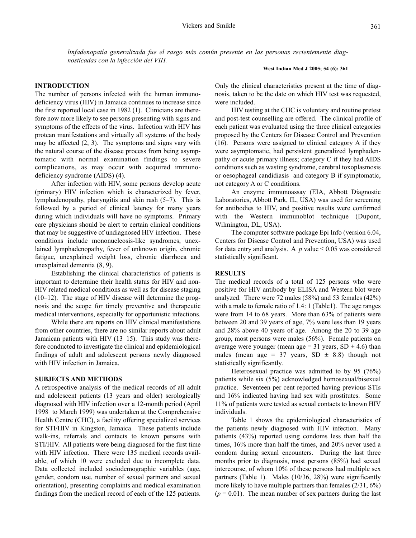*linfadenopatía generalizada fue el rasgo más común presente en las personas recientemente diagnosticadas con la infección del VIH.*

#### **West Indian Med J 2005; 54 (6): 361**

#### **INTRODUCTION**

The number of persons infected with the human immunodeficiency virus (HIV) in Jamaica continues to increase since the first reported local case in 1982 (1). Clinicians are therefore now more likely to see persons presenting with signs and symptoms of the effects of the virus. Infection with HIV has protean manifestations and virtually all systems of the body may be affected (2, 3). The symptoms and signs vary with the natural course of the disease process from being asymptomatic with normal examination findings to severe complications, as may occur with acquired immunodeficiency syndrome (AIDS) (4).

After infection with HIV, some persons develop acute (primary) HIV infection which is characterized by fever, lymphadenopathy, pharyngitis and skin rash (5–7). This is followed by a period of clinical latency for many years during which individuals will have no symptoms. Primary care physicians should be alert to certain clinical conditions that may be suggestive of undiagnosed HIV infection. These conditions include mononucleosis-like syndromes, unexlained lymphadenopathy, fever of unknown origin, chronic fatigue, unexplained weight loss, chronic diarrhoea and unexplained dementia (8, 9).

Establishing the clinical characteristics of patients is important to determine their health status for HIV and non-HIV related medical conditions as well as for disease staging (10–12). The stage of HIV disease will determine the prognosis and the scope for timely preventive and therapeutic medical interventions, especially for opportunistic infections.

While there are reports on HIV clinical manifestations from other countries, there are no similar reports about adult Jamaican patients with HIV (13–15). This study was therefore conducted to investigate the clinical and epidemiological findings of adult and adolescent persons newly diagnosed with HIV infection in Jamaica.

#### **SUBJECTS AND METHODS**

A retrospective analysis of the medical records of all adult and adolescent patients (13 years and older) serologically diagnosed with HIV infection over a 12-month period (April 1998 to March 1999) was undertaken at the Comprehensive Health Centre (CHC), a facility offering specialized services for STI/HIV in Kingston, Jamaica. These patients include walk-ins, referrals and contacts to known persons with STI/HIV. All patients were being diagnosed for the first time with HIV infection. There were 135 medical records available, of which 10 were excluded due to incomplete data. Data collected included sociodemographic variables (age, gender, condom use, number of sexual partners and sexual orientation), presenting complaints and medical examination findings from the medical record of each of the 125 patients. Only the clinical characteristics present at the time of diagnosis, taken to be the date on which HIV test was requested, were included.

HIV testing at the CHC is voluntary and routine pretest and post-test counselling are offered. The clinical profile of each patient was evaluated using the three clinical categories proposed by the Centers for Disease Control and Prevention (16). Persons were assigned to clinical category A if they were asymptomatic, had persistent generalized lymphadenpathy or acute primary illness; category C if they had AIDS conditions such as wasting syndrome, cerebral toxoplasmosis or oesophageal candidiasis and category B if symptomatic, not category A or C conditions.

An enzyme immunoassay (EIA, Abbott Diagnostic Laboratories, Abbott Park, IL, USA) was used for screening for antibodies to HIV, and positive results were confirmed with the Western immunoblot technique (Dupont, Wilmington, DL, USA).

The computer software package Epi Info (version 6.04, Centers for Disease Control and Prevention, USA) was used for data entry and analysis. A  $p$  value  $\leq 0.05$  was considered statistically significant.

### **RESULTS**

The medical records of a total of 125 persons who were positive for HIV antibody by ELISA and Western blot were analyzed. There were 72 males (58%) and 53 females (42%) with a male to female ratio of 1.4: 1 (Table1). The age ranges were from 14 to 68 years. More than 63% of patients were between 20 and 39 years of age, 7% were less than 19 years and 28% above 40 years of age. Among the 20 to 39 age group, most persons were males (56%). Female patients on average were younger (mean age =  $31$  years,  $SD \pm 4.6$ ) than males (mean age = 37 years, SD  $\pm$  8.8) though not statistically significantly.

Heterosexual practice was admitted to by 95 (76%) patients while six (5%) acknowledged homosexual/bisexual practice. Seventeen per cent reported having previous STIs and 16% indicated having had sex with prostitutes. Some 11% of patients were tested as sexual contacts to known HIV individuals.

Table 1 shows the epidemiological characteristics of the patients newly diagnosed with HIV infection. Many patients (43%) reported using condoms less than half the times, 16% more than half the times, and 20% never used a condom during sexual encounters. During the last three months prior to diagnosis, most persons (85%) had sexual intercourse, of whom 10% of these persons had multiple sex partners (Table 1). Males (10/36, 28%) were significantly more likely to have multiple partners than females (2/31, 6%)  $(p = 0.01)$ . The mean number of sex partners during the last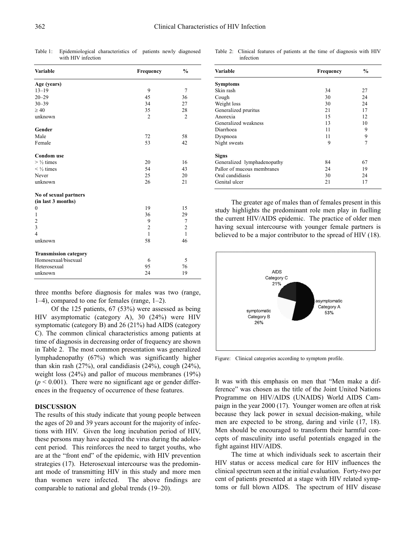Table 1: Epidemiological characteristics of patients newly diagnosed with HIV infection

| Age (years)<br>$13 - 19$<br>9<br>$20 - 29$<br>45<br>$30 - 39$<br>34<br>$\geq 40$<br>35<br>unknown<br>$\overline{2}$<br>Gender<br>Male<br>72<br>53<br>Female<br><b>Condom</b> use<br>$>$ 1/2 times<br>20<br>54<br>$\frac{1}{2}$ times<br>25<br>Never<br>unknown<br>26<br>No of sexual partners | 7<br>36<br>27  |
|-----------------------------------------------------------------------------------------------------------------------------------------------------------------------------------------------------------------------------------------------------------------------------------------------|----------------|
|                                                                                                                                                                                                                                                                                               |                |
|                                                                                                                                                                                                                                                                                               |                |
|                                                                                                                                                                                                                                                                                               |                |
|                                                                                                                                                                                                                                                                                               |                |
|                                                                                                                                                                                                                                                                                               | 28             |
|                                                                                                                                                                                                                                                                                               | $\overline{2}$ |
|                                                                                                                                                                                                                                                                                               |                |
|                                                                                                                                                                                                                                                                                               | 58             |
|                                                                                                                                                                                                                                                                                               | 42             |
|                                                                                                                                                                                                                                                                                               |                |
|                                                                                                                                                                                                                                                                                               | 16             |
|                                                                                                                                                                                                                                                                                               | 43             |
|                                                                                                                                                                                                                                                                                               | 20             |
|                                                                                                                                                                                                                                                                                               | 21             |
|                                                                                                                                                                                                                                                                                               |                |
| (in last 3 months)                                                                                                                                                                                                                                                                            |                |
| $\boldsymbol{0}$<br>19                                                                                                                                                                                                                                                                        | 15             |
| 36<br>1                                                                                                                                                                                                                                                                                       | 29             |
| $\overline{c}$<br>9                                                                                                                                                                                                                                                                           | 7              |
| 3<br>$\overline{2}$                                                                                                                                                                                                                                                                           | $\overline{2}$ |
| $\overline{4}$<br>1                                                                                                                                                                                                                                                                           | 1              |
| unknown<br>58                                                                                                                                                                                                                                                                                 | 46             |
| <b>Transmission category</b>                                                                                                                                                                                                                                                                  |                |
| Homosexual/bisexual<br>6                                                                                                                                                                                                                                                                      | 5              |
| 95<br>Heterosexual                                                                                                                                                                                                                                                                            | 76             |
| 24<br>unknown                                                                                                                                                                                                                                                                                 | 19             |

three months before diagnosis for males was two (range, 1–4), compared to one for females (range, 1–2).

Of the 125 patients, 67 (53%) were assessed as being HIV asymptomatic (category A), 30 (24%) were HIV symptomatic (category B) and 26 (21%) had AIDS (category C). The common clinical characteristics among patients at time of diagnosis in decreasing order of frequency are shown in Table 2. The most common presentation was generalized lymphadenopathy (67%) which was significantly higher than skin rash (27%), oral candidiasis (24%), cough (24%), weight loss (24%) and pallor of mucous membranes (19%)  $(p < 0.001)$ . There were no significant age or gender differences in the frequency of occurrence of these features.

#### **DISCUSSION**

The results of this study indicate that young people between the ages of 20 and 39 years account for the majority of infections with HIV. Given the long incubation period of HIV, these persons may have acquired the virus during the adolescent period. This reinforces the need to target youths, who are at the "front end" of the epidemic, with HIV prevention strategies (17). Heterosexual intercourse was the predominant mode of transmitting HIV in this study and more men than women were infected. The above findings are comparable to national and global trends (19–20).

Table 2: Clinical features of patients at the time of diagnosis with HIV infection

| <b>Variable</b>             | <b>Frequency</b> | $\frac{0}{0}$ |
|-----------------------------|------------------|---------------|
| <b>Symptoms</b>             |                  |               |
| Skin rash                   | 34               | 27            |
| Cough                       | 30               | 24            |
| Weight loss                 | 30               | 24            |
| Generalized pruritus        | 21               | 17            |
| Anorexia                    | 15               | 12            |
| Generalized weakness        | 13               | 10            |
| Diarrhoea                   | 11               | 9             |
| Dyspnoea                    | 11               | 9             |
| Night sweats                | 9                | 7             |
| <b>Signs</b>                |                  |               |
| Generalized lymphadenopathy | 84               | 67            |
| Pallor of mucous membranes  | 24               | 19            |
| Oral candidiasis            | 30               | 24            |
| Genital ulcer               | 21               | 17            |

The greater age of males than of females present in this study highlights the predominant role men play in fuelling the current HIV/AIDS epidemic. The practice of older men having sexual intercourse with younger female partners is believed to be a major contributor to the spread of HIV (18).



Figure: Clinical categories according to symptom profile.

It was with this emphasis on men that "Men make a difference" was chosen as the title of the Joint United Nations Programme on HIV/AIDS (UNAIDS) World AIDS Campaign in the year 2000 (17). Younger women are often at risk because they lack power in sexual decision-making, while men are expected to be strong, daring and virile (17, 18). Men should be encouraged to transform their harmful concepts of masculinity into useful potentials engaged in the fight against HIV/AIDS.

The time at which individuals seek to ascertain their HIV status or access medical care for HIV influences the clinical spectrum seen at the initial evaluation. Forty-two per cent of patients presented at a stage with HIV related symptoms or full blown AIDS. The spectrum of HIV disease